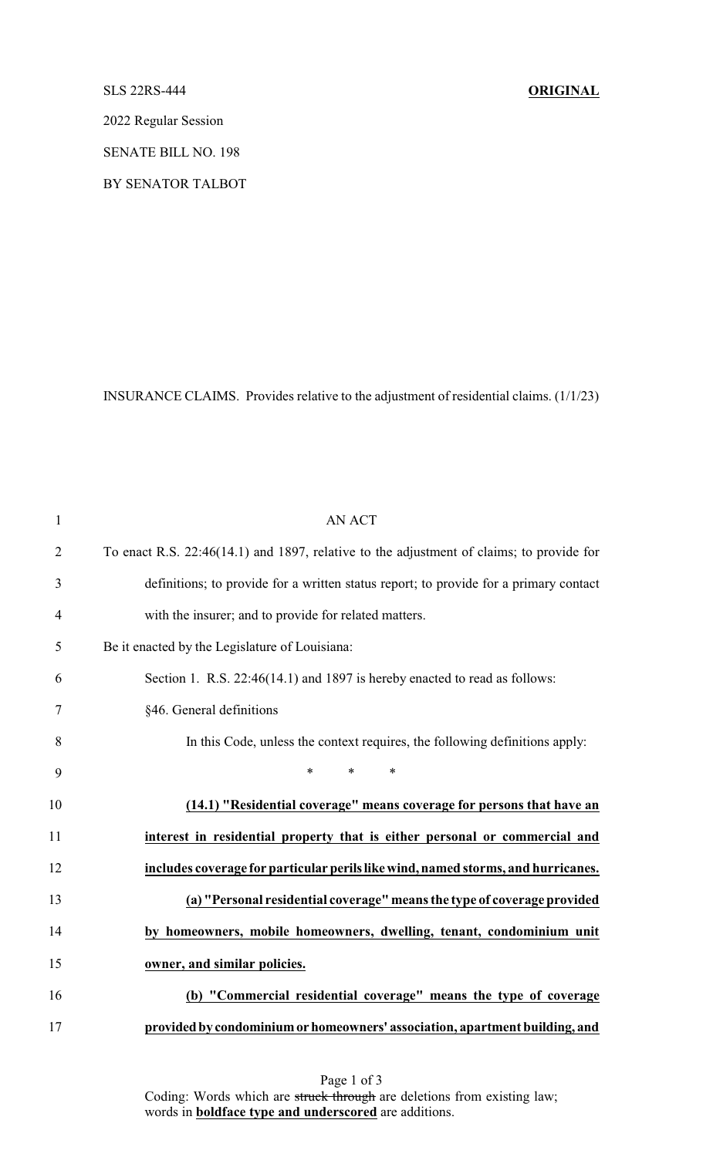### SLS 22RS-444 **ORIGINAL**

2022 Regular Session

SENATE BILL NO. 198

BY SENATOR TALBOT

INSURANCE CLAIMS. Provides relative to the adjustment of residential claims. (1/1/23)

| $\mathbf{1}$   | <b>AN ACT</b>                                                                            |
|----------------|------------------------------------------------------------------------------------------|
| $\overline{2}$ | To enact R.S. 22:46(14.1) and 1897, relative to the adjustment of claims; to provide for |
| 3              | definitions; to provide for a written status report; to provide for a primary contact    |
| 4              | with the insurer; and to provide for related matters.                                    |
| 5              | Be it enacted by the Legislature of Louisiana:                                           |
| 6              | Section 1. R.S. 22:46(14.1) and 1897 is hereby enacted to read as follows:               |
| 7              | §46. General definitions                                                                 |
| 8              | In this Code, unless the context requires, the following definitions apply:              |
| 9              | $\ast$<br>$\ast$<br>$\ast$                                                               |
| 10             | (14.1) "Residential coverage" means coverage for persons that have an                    |
| 11             | interest in residential property that is either personal or commercial and               |
| 12             | includes coverage for particular perils like wind, named storms, and hurricanes.         |
| 13             | (a) "Personal residential coverage" means the type of coverage provided                  |
| 14             | by homeowners, mobile homeowners, dwelling, tenant, condominium unit                     |
| 15             | owner, and similar policies.                                                             |
| 16             | (b) "Commercial residential coverage" means the type of coverage                         |
| 17             | provided by condominium or homeowners' association, apartment building, and              |

Page 1 of 3 Coding: Words which are struck through are deletions from existing law; words in **boldface type and underscored** are additions.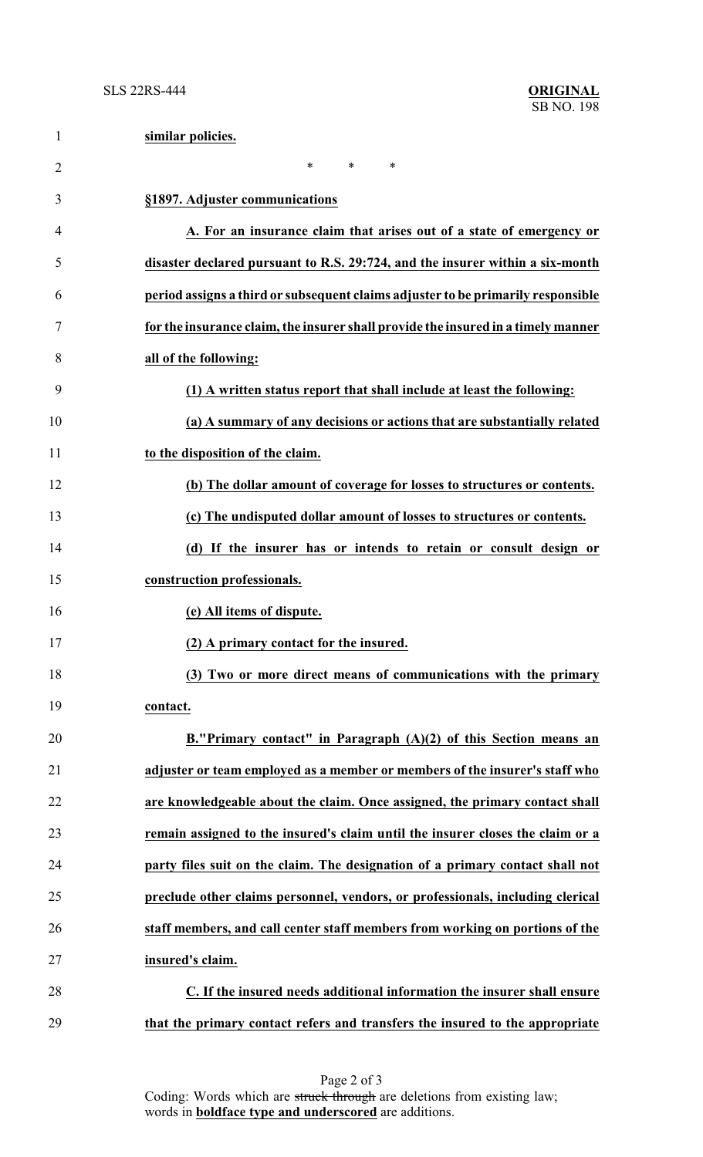| $\mathbf{1}$   | similar policies.                                                                 |
|----------------|-----------------------------------------------------------------------------------|
| $\overline{2}$ | $\ast$<br>$\ast$<br>$\ast$                                                        |
| 3              | §1897. Adjuster communications                                                    |
| 4              | A. For an insurance claim that arises out of a state of emergency or              |
| 5              | disaster declared pursuant to R.S. 29:724, and the insurer within a six-month     |
| 6              | period assigns a third or subsequent claims adjuster to be primarily responsible  |
| 7              | for the insurance claim, the insurer shall provide the insured in a timely manner |
| 8              | all of the following:                                                             |
| 9              | (1) A written status report that shall include at least the following:            |
| 10             | (a) A summary of any decisions or actions that are substantially related          |
| 11             | to the disposition of the claim.                                                  |
| 12             | (b) The dollar amount of coverage for losses to structures or contents.           |
| 13             | (c) The undisputed dollar amount of losses to structures or contents.             |
| 14             | (d) If the insurer has or intends to retain or consult design or                  |
| 15             | construction professionals.                                                       |
| 16             | (e) All items of dispute.                                                         |
| 17             | (2) A primary contact for the insured.                                            |
| 18             | (3) Two or more direct means of communications with the primary                   |
| 19             | contact.                                                                          |
| 20             | B. "Primary contact" in Paragraph $(A)(2)$ of this Section means an               |
| 21             | adjuster or team employed as a member or members of the insurer's staff who       |
| 22             | are knowledgeable about the claim. Once assigned, the primary contact shall       |
| 23             | remain assigned to the insured's claim until the insurer closes the claim or a    |
| 24             | party files suit on the claim. The designation of a primary contact shall not     |
| 25             | preclude other claims personnel, vendors, or professionals, including clerical    |
| 26             | staff members, and call center staff members from working on portions of the      |
| 27             | insured's claim.                                                                  |
| 28             | C. If the insured needs additional information the insurer shall ensure           |
| 29             | that the primary contact refers and transfers the insured to the appropriate      |